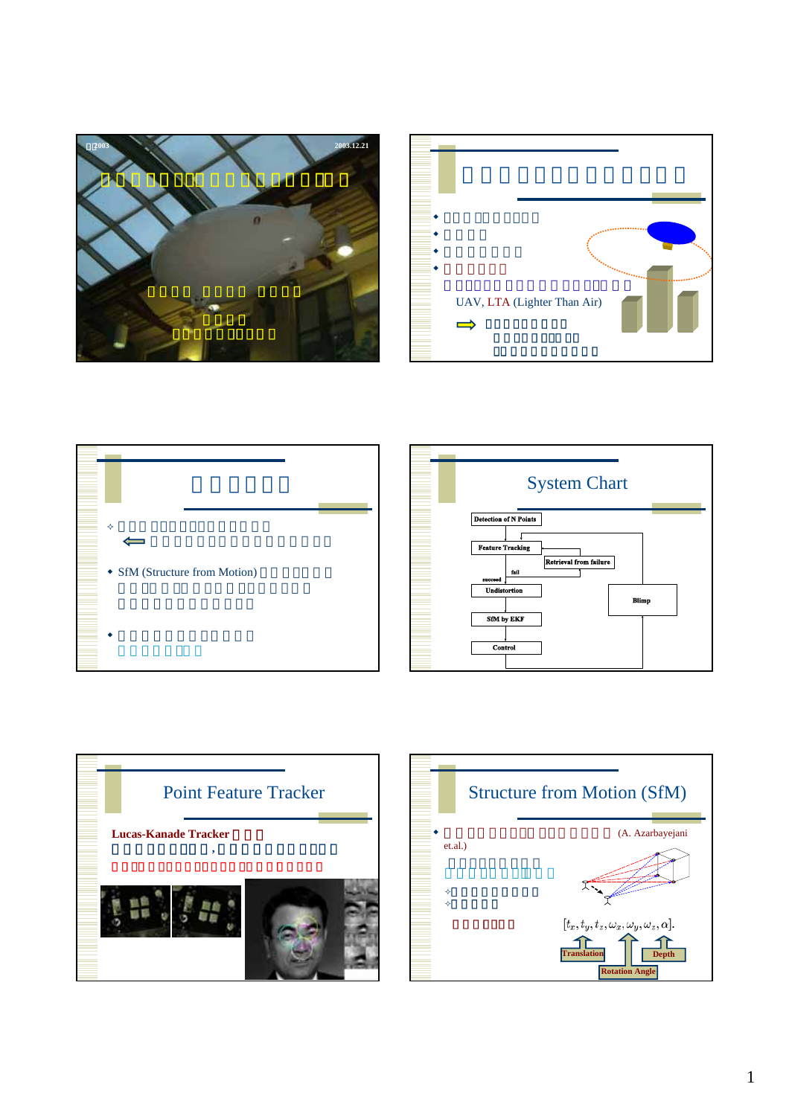







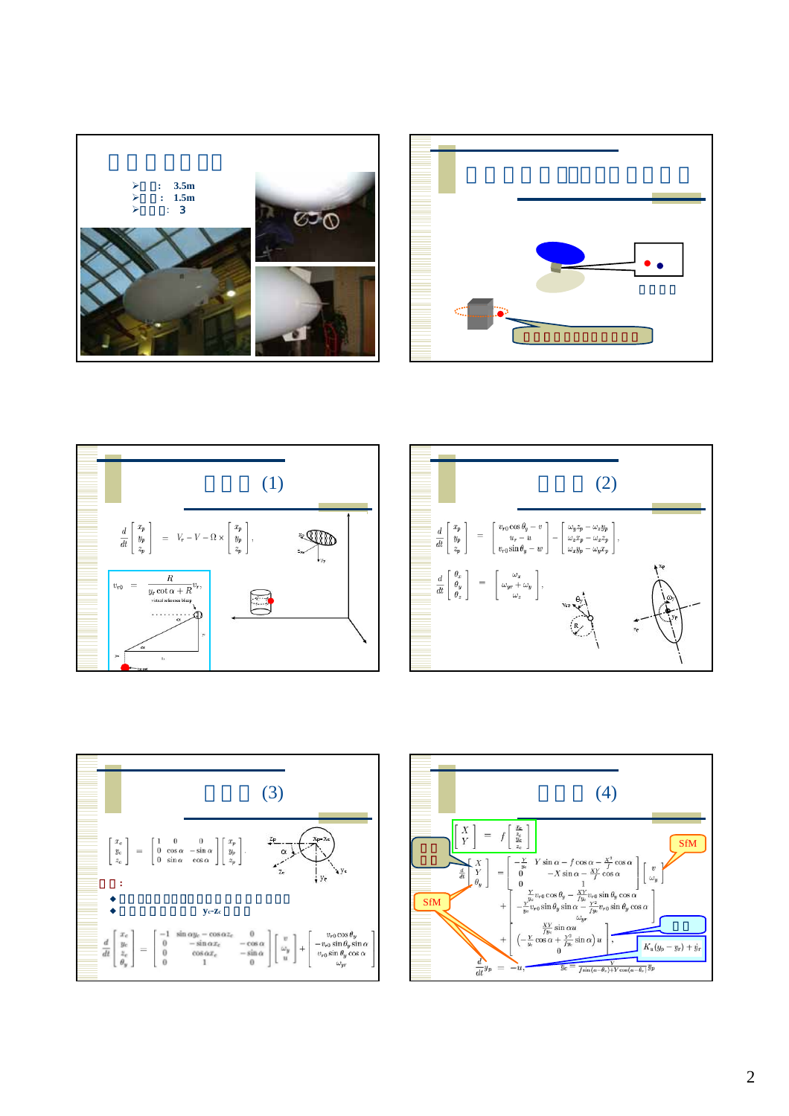









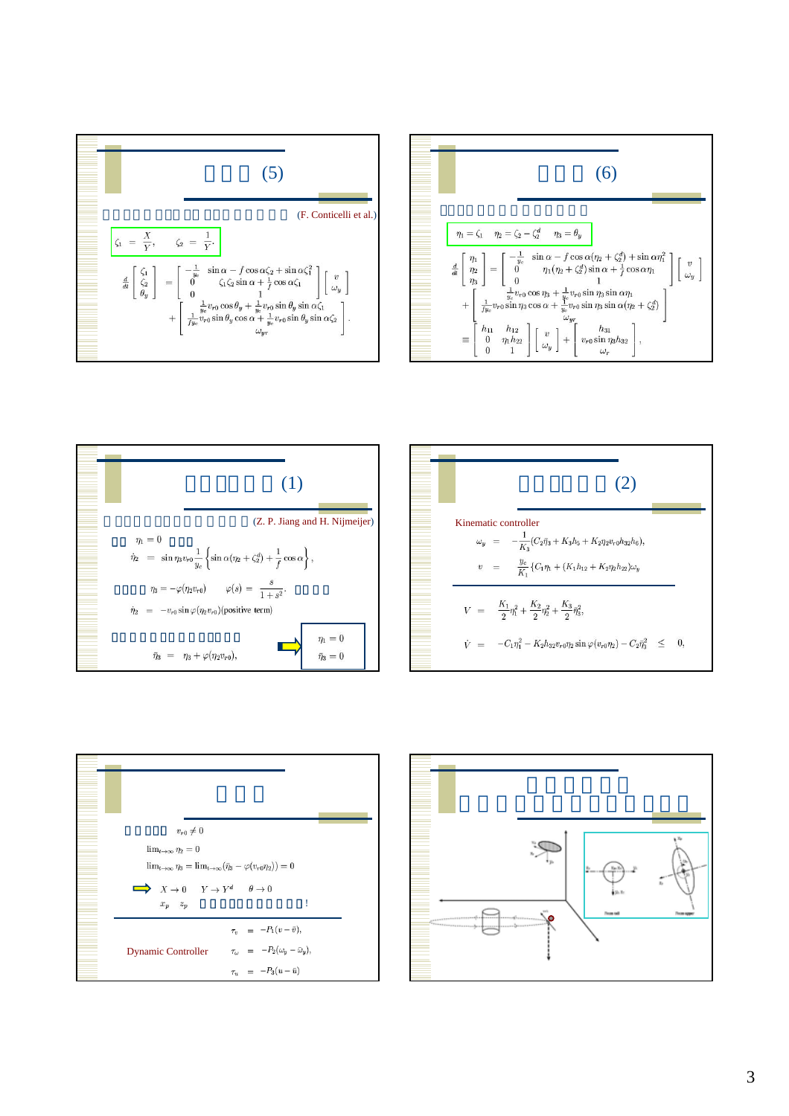









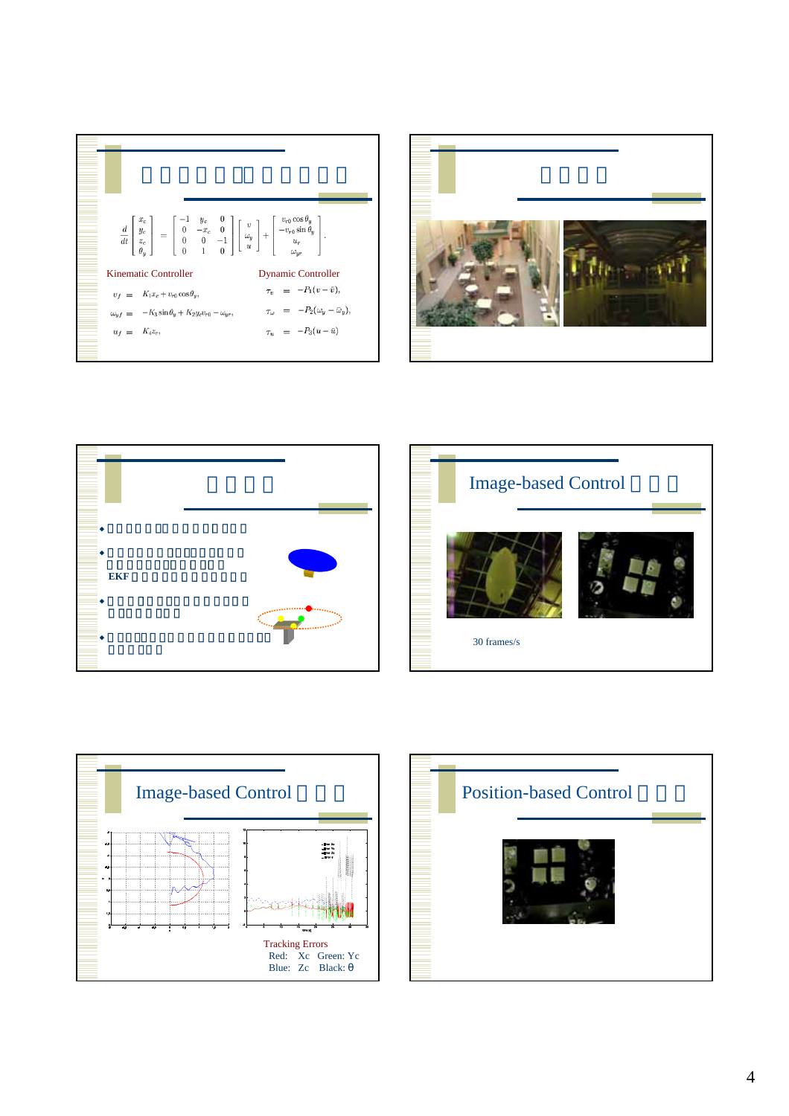









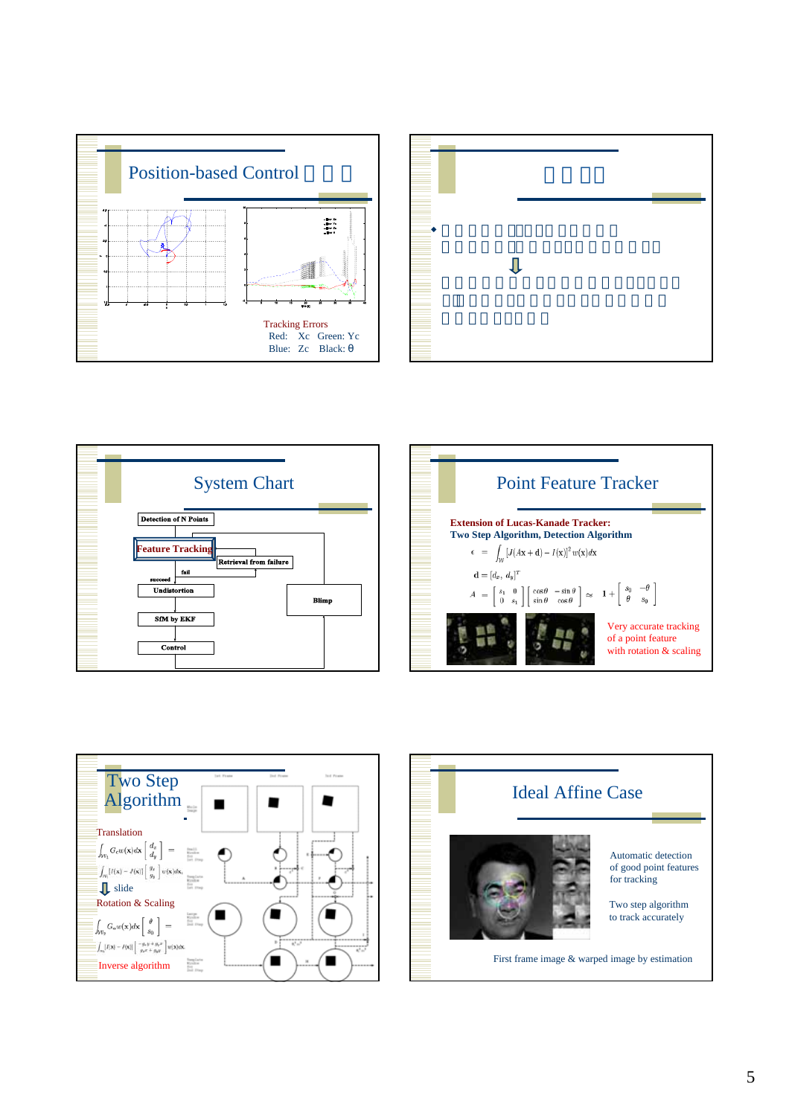